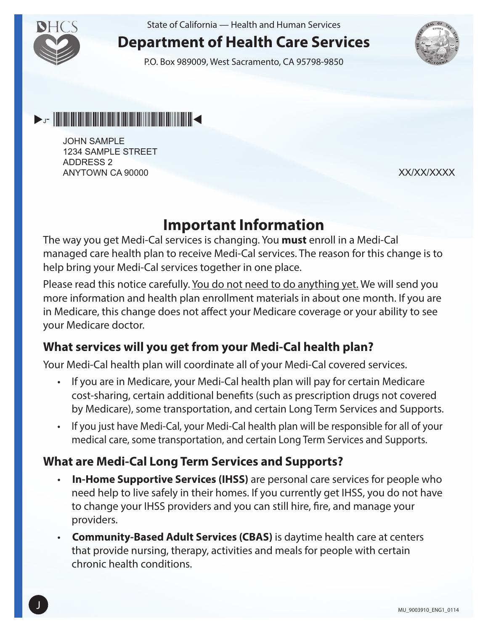

State of California — Health and Human Services

## **Department of Health Care Services**

P.O. Box 989009, West Sacramento, CA 95798-9850



# J- 00000000A-00/000/00

JOHN SAMPLE 1234 SAMPLE STREET ADDRESS 2 ANYTOWN CA 90000

XX/XX/XXXX

## **Important Information**

The way you get Medi-Cal services is changing. You **must** enroll in a Medi-Cal managed care health plan to receive Medi-Cal services. The reason for this change is to help bring your Medi-Cal services together in one place.

Please read this notice carefully. You do not need to do anything yet. We will send you more information and health plan enrollment materials in about one month. If you are in Medicare, this change does not affect your Medicare coverage or your ability to see your Medicare doctor.

## **What services will you get from your Medi-Cal health plan?**

Your Medi-Cal health plan will coordinate all of your Medi-Cal covered services.

- If you are in Medicare, your Medi-Cal health plan will pay for certain Medicare cost-sharing, certain additional benefits (such as prescription drugs not covered by Medicare), some transportation, and certain Long Term Services and Supports.
- If you just have Medi-Cal, your Medi-Cal health plan will be responsible for all of your medical care, some transportation, and certain Long Term Services and Supports.

#### **What are Medi-Cal Long Term Services and Supports?**

- **In-Home Supportive Services (IHSS)** are personal care services for people who need help to live safely in their homes. If you currently get IHSS, you do not have to change your IHSS providers and you can still hire, fire, and manage your providers.
- • **Community-Based Adult Services (CBAS)** is daytime health care at centers that provide nursing, therapy, activities and meals for people with certain chronic health conditions.